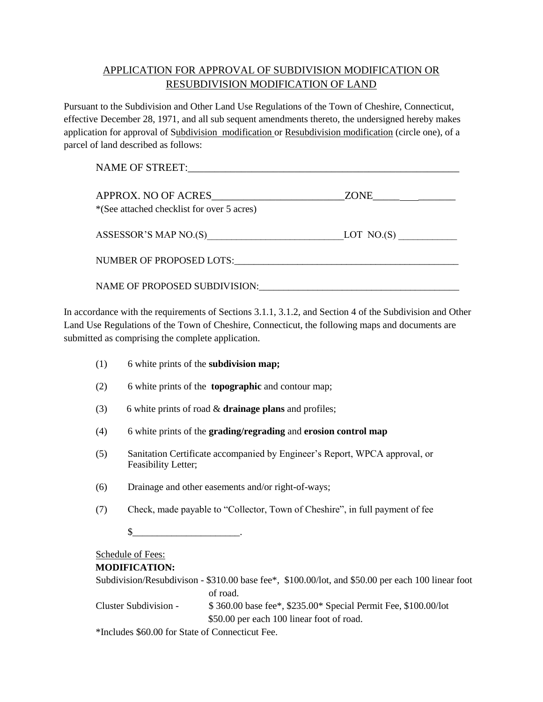# APPLICATION FOR APPROVAL OF SUBDIVISION MODIFICATION OR RESUBDIVISION MODIFICATION OF LAND

Pursuant to the Subdivision and Other Land Use Regulations of the Town of Cheshire, Connecticut, effective December 28, 1971, and all sub sequent amendments thereto, the undersigned hereby makes application for approval of Subdivision modification or Resubdivision modification (circle one), of a parcel of land described as follows:

| <b>NAME OF STREET:</b>                                             |            |
|--------------------------------------------------------------------|------------|
| APPROX. NO OF ACRES<br>*(See attached checklist for over 5 acres)  |            |
| ASSESSOR'S MAP NO.(S)<br><u> 1980 - Johann Stoff, fransk konge</u> | LOT NO.(S) |
| NUMBER OF PROPOSED LOTS:                                           |            |
| NAME OF PROPOSED SUBDIVISION:                                      |            |

In accordance with the requirements of Sections 3.1.1, 3.1.2, and Section 4 of the Subdivision and Other Land Use Regulations of the Town of Cheshire, Connecticut, the following maps and documents are submitted as comprising the complete application.

| (1) | 6 white prints of the subdivision map;                                                            |
|-----|---------------------------------------------------------------------------------------------------|
| (2) | 6 white prints of the <b>topographic</b> and contour map;                                         |
| (3) | 6 white prints of road $\&$ drainage plans and profiles;                                          |
| (4) | 6 white prints of the grading/regrading and erosion control map                                   |
| (5) | Sanitation Certificate accompanied by Engineer's Report, WPCA approval, or<br>Feasibility Letter; |
| (6) | Drainage and other easements and/or right-of-ways;                                                |
| (7) | Check, made payable to "Collector, Town of Cheshire", in full payment of fee                      |
|     | S                                                                                                 |
|     | <b>Schedule of Fees:</b>                                                                          |
|     | <b>MODIFICATION:</b>                                                                              |
|     | Subdivision/Resubdivison - \$310.00 base fee*, \$100.00/lot, and \$50.00 per each 100 linear foot |
|     | of road.                                                                                          |

Cluster Subdivision - \$ 360.00 base fee\*, \$235.00\* Special Permit Fee, \$100.00/lot \$50.00 per each 100 linear foot of road.

\*Includes \$60.00 for State of Connecticut Fee.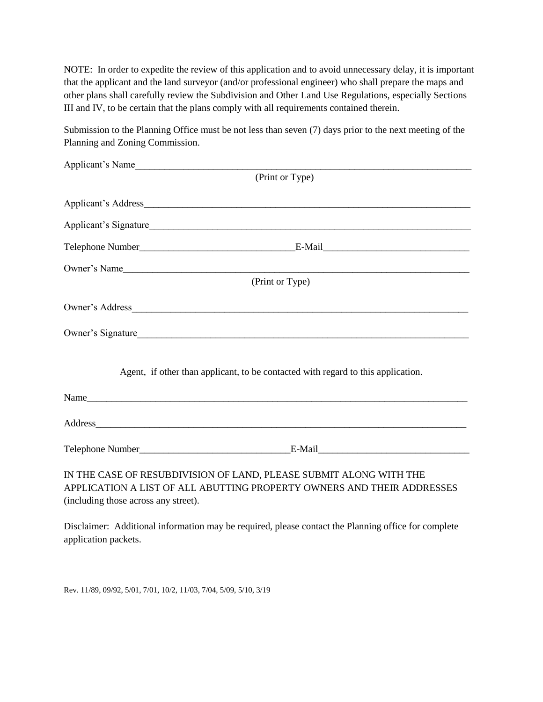NOTE: In order to expedite the review of this application and to avoid unnecessary delay, it is important that the applicant and the land surveyor (and/or professional engineer) who shall prepare the maps and other plans shall carefully review the Subdivision and Other Land Use Regulations, especially Sections III and IV, to be certain that the plans comply with all requirements contained therein.

Submission to the Planning Office must be not less than seven (7) days prior to the next meeting of the Planning and Zoning Commission.

| Applicant's Name                     |                                                                                  |
|--------------------------------------|----------------------------------------------------------------------------------|
|                                      | (Print or Type)                                                                  |
|                                      |                                                                                  |
|                                      | Applicant's Signature                                                            |
|                                      |                                                                                  |
|                                      | Owner's Name                                                                     |
|                                      | (Print or Type)                                                                  |
|                                      |                                                                                  |
|                                      | Owner's Signature                                                                |
|                                      | Agent, if other than applicant, to be contacted with regard to this application. |
|                                      | Name                                                                             |
|                                      |                                                                                  |
|                                      |                                                                                  |
|                                      | IN THE CASE OF RESUBDIVISION OF LAND, PLEASE SUBMIT ALONG WITH THE               |
|                                      | APPLICATION A LIST OF ALL ABUTTING PROPERTY OWNERS AND THEIR ADDRESSES           |
| (including those across any street). |                                                                                  |

Disclaimer: Additional information may be required, please contact the Planning office for complete application packets.

Rev. 11/89, 09/92, 5/01, 7/01, 10/2, 11/03, 7/04, 5/09, 5/10, 3/19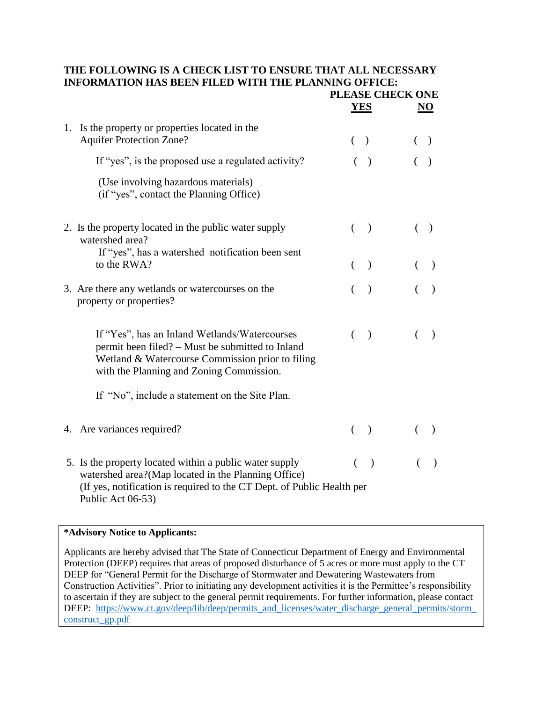#### **THE FOLLOWING IS A CHECK LIST TO ENSURE THAT ALL NECESSARY INFORMATION HAS BEEN FILED WITH THE PLANNING OFFICE: PLEASE CHECK ONE**

|    |                                                                                                                                                                                                               | <u>YES</u> |               | <u>NO</u> |
|----|---------------------------------------------------------------------------------------------------------------------------------------------------------------------------------------------------------------|------------|---------------|-----------|
| 1. | Is the property or properties located in the<br><b>Aquifer Protection Zone?</b>                                                                                                                               | $($ )      |               |           |
|    | If "yes", is the proposed use a regulated activity?                                                                                                                                                           |            | $\big)$       |           |
|    | (Use involving hazardous materials)<br>(if "yes", contact the Planning Office)                                                                                                                                |            |               |           |
|    | 2. Is the property located in the public water supply<br>watershed area?                                                                                                                                      | $\left($   | $\lambda$     |           |
|    | If "yes", has a watershed notification been sent<br>to the RWA?                                                                                                                                               | $\left($   | $\lambda$     | $\lambda$ |
|    | 3. Are there any wetlands or watercourses on the<br>property or properties?                                                                                                                                   | €          |               | $\lambda$ |
|    | If "Yes", has an Inland Wetlands/Watercourses<br>permit been filed? – Must be submitted to Inland<br>Wetland & Watercourse Commission prior to filing<br>with the Planning and Zoning Commission.             | $\left($   | $\lambda$     | $\lambda$ |
|    | If "No", include a statement on the Site Plan.                                                                                                                                                                |            |               |           |
|    | 4. Are variances required?                                                                                                                                                                                    | $\left($   | $\lambda$     |           |
|    | 5. Is the property located within a public water supply<br>watershed area?(Map located in the Planning Office)<br>(If yes, notification is required to the CT Dept. of Public Health per<br>Public Act 06-53) | €          | $\rightarrow$ | $\lambda$ |

#### **\*Advisory Notice to Applicants:**

Applicants are hereby advised that The State of Connecticut Department of Energy and Environmental Protection (DEEP) requires that areas of proposed disturbance of 5 acres or more must apply to the CT DEEP for "General Permit for the Discharge of Stormwater and Dewatering Wastewaters from Construction Activities". Prior to initiating any development activities it is the Permittee's responsibility to ascertain if they are subject to the general permit requirements. For further information, please contact DEEP: https://www.ct.gov/deep/lib/deep/permits\_and\_licenses/water\_discharge\_general\_permits/storm [construct\\_gp.pdf](https://www.ct.gov/deep/lib/deep/permits_and_licenses/water_discharge_general_permits/storm_construct_gp.pdf)